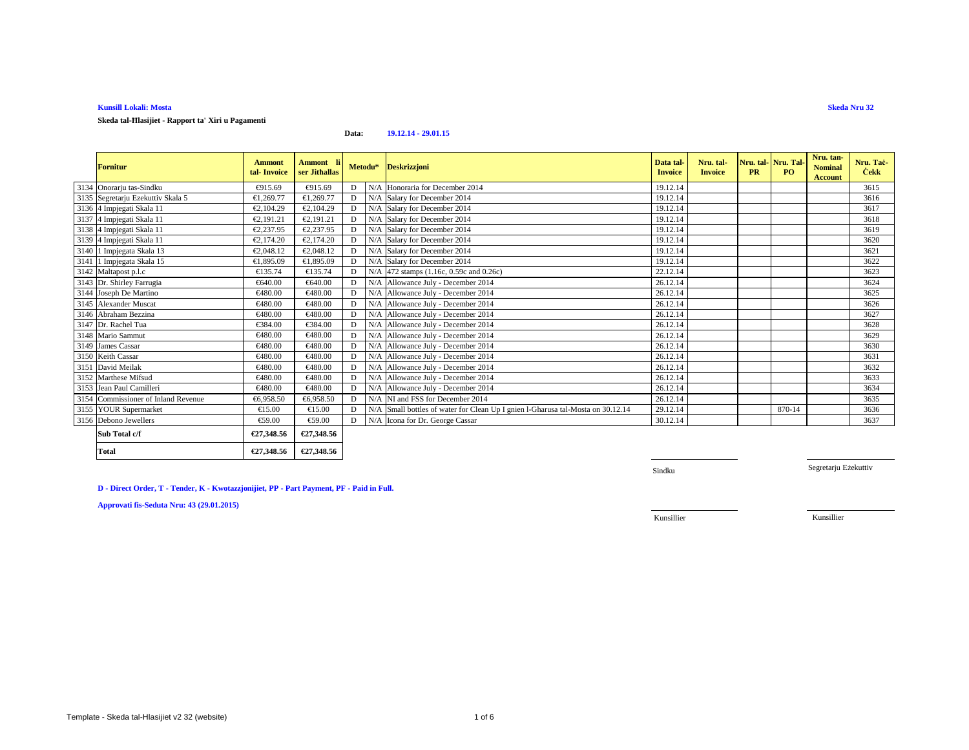**Skeda tal-Ħlasijiet - Rapport ta' Xiri u Pagamenti**

#### **Data:19.12.14 - 29.01.15**

| <b>Fornitur</b>                             | <b>Ammont</b><br>tal-Invoice | Ammont li<br>ser Jithallas |   | Metodu* Deskrizzjoni                                                           | Data tal<br><b>Invoice</b> | Nru. tal-<br><b>Invoice</b> | <b>PR</b> | Nru. tal-Nru. Tal-<br>PO | Nru. tan-<br><b>Nominal</b><br><b>Account</b> | Nru. Tač<br><b>Cekk</b> |
|---------------------------------------------|------------------------------|----------------------------|---|--------------------------------------------------------------------------------|----------------------------|-----------------------------|-----------|--------------------------|-----------------------------------------------|-------------------------|
| 3134 Onorarju tas-Sindku                    | €915.69                      | €915.69                    |   | N/A Honoraria for Deember 2014                                                 | 19.12.14                   |                             |           |                          |                                               | 3615                    |
| 3135 Segretarju Ezekuttiv Skala 5           | €1,269.77                    | €1,269.77                  | D | N/A Salar for December 2014                                                    | 19.12.14                   |                             |           |                          |                                               | 3616                    |
| 3136 4 Impjegati Skala 11                   | €2,104.29                    | €2,104.29                  | D | N/A Salary forDecember 2014                                                    | 19.12.14                   |                             |           |                          |                                               | 3617                    |
| 3137 4 Impjegati Skala 11                   | €2,191.21                    | €2,191.21                  | D | N/A Salary forDecember 2014                                                    | 19.12.14                   |                             |           |                          |                                               | 3618                    |
| 3138 4 Impjegati Skala 11                   | €2,237.95                    | €2,237.95                  | D | N/A Salary forDecember 2014                                                    | 19.12.14                   |                             |           |                          |                                               | 3619                    |
| 3139 4 Impjegati Skala 11                   | €2,174.20                    | €2,174.20                  | D | N/A Salary forDecember 2014                                                    | 19.12.14                   |                             |           |                          |                                               | 3620                    |
| 3140 1 Impjegata Skala 13                   | €2,048.12                    | €2,048.12                  | D | N/A Salary forDecember 2014                                                    | 19.12.14                   |                             |           |                          |                                               | 3621                    |
| 3141 1 Impjegata Skala 15                   | €1,895.09                    | €1,895.09                  | D | N/A Salary forDecember 2014                                                    | 19.12.14                   |                             |           |                          |                                               | 3622                    |
| 3142 Maltapost p.l.c                        | €135.74                      | €135.74                    | D | N/A 472 stamps (1.16c, 059c and 0.26c)                                         | 22.12.14                   |                             |           |                          |                                               | 3623                    |
| 3143 Dr. Shirley Farrugia                   | €640.00                      | €640.00                    | D | N/A Allowance July December 2014                                               | 26.12.14                   |                             |           |                          |                                               | 3624                    |
| 3144 Joseph De Martino                      | €480.00                      | €480.00                    | D | N/A Allowance July - December 2014                                             | 26.12.14                   |                             |           |                          |                                               | 3625                    |
| 3145 Alexander Muscat                       | €480.00                      | €480.00                    |   | N/A Allowance July - Deember 2014                                              | 26.12.14                   |                             |           |                          |                                               | 3626                    |
| 3146 Abraham Bezzina<br>3147 Dr. Rachel Tua | €480.00                      | €480.00                    | D | N/A Allowance July - Deember 2014                                              | 26.12.14                   |                             |           |                          |                                               | 3627                    |
|                                             | €384.00                      | €384.00                    | D | N/A Allowance July - Deember 2014                                              | 26.12.14                   |                             |           |                          |                                               | 3628                    |
| 3148 Mario Sammut                           | €480.00                      | €480.00                    | D | N/A Allowance July - December 2014                                             | 26.12.14                   |                             |           |                          |                                               | 3629                    |
| 3149 James Cassar                           | €480.00                      | €480.00                    | D | N/A Allowance July - December 2014                                             | 26.12.14                   |                             |           |                          |                                               | 3630                    |
| 3150 Keith Cassar                           | €480.00                      | €480.00                    | D | N/A Allowance July - Decembr 2014                                              | 26.12.14                   |                             |           |                          |                                               | 3631                    |
| 3151 David Meilak                           | €480.00                      | €480.00                    | D | N/A Allowance July - Decembe 2014                                              | 26.12.14                   |                             |           |                          |                                               | 3632                    |
| 3152 Marthese Mifsud                        | €480.00                      | €480.00                    | D | N/A Allowance July - Deember 2014                                              | 26.12.14                   |                             |           |                          |                                               | 3633                    |
| 3153 Jean Paul Camilleri                    | €480.00                      | €480.00                    | D | N/A Allowance July - Deember 2014                                              | 26.12.14                   |                             |           |                          |                                               | 3634                    |
| 3154 Commissioner of Inland Revenue         | €6,958.50                    | €6,958.50                  | D | NA NI and FSS for December 2014                                                | 26.12.14                   |                             |           |                          |                                               | 3635                    |
| 3155 YOUR Supermarket                       | €15.00                       | €15.00                     | D | N/A Small bottles of waterfor Clean Up I gnien l-Gharusa tal-Mosta on 30.12.14 | 29.12.14                   |                             |           | 870-14                   |                                               | 3636                    |
| 3156 Debono Jewellers                       | €59.00                       | €59.00                     | D | N/A Icona for Dr. George Cassar                                                | 30.12.14                   |                             |           |                          |                                               | 3637                    |
| Sub Total c/f                               | €27,348.56                   | €27,348.56                 |   |                                                                                |                            |                             |           |                          |                                               |                         |

**€27,348.56 €27,348.56**

Sindku

Segretarju Eżekuttiv

**D - Direct Order, T - Tender, K - Kwotazzjonijiet, PP - Part Payment, PF - Paid in Full.**

**Approvati fis-Seduta Nru: 43 (29.01.2015)**

**Total**

Kunsillier

Kunsillier

**Skeda Nru 32**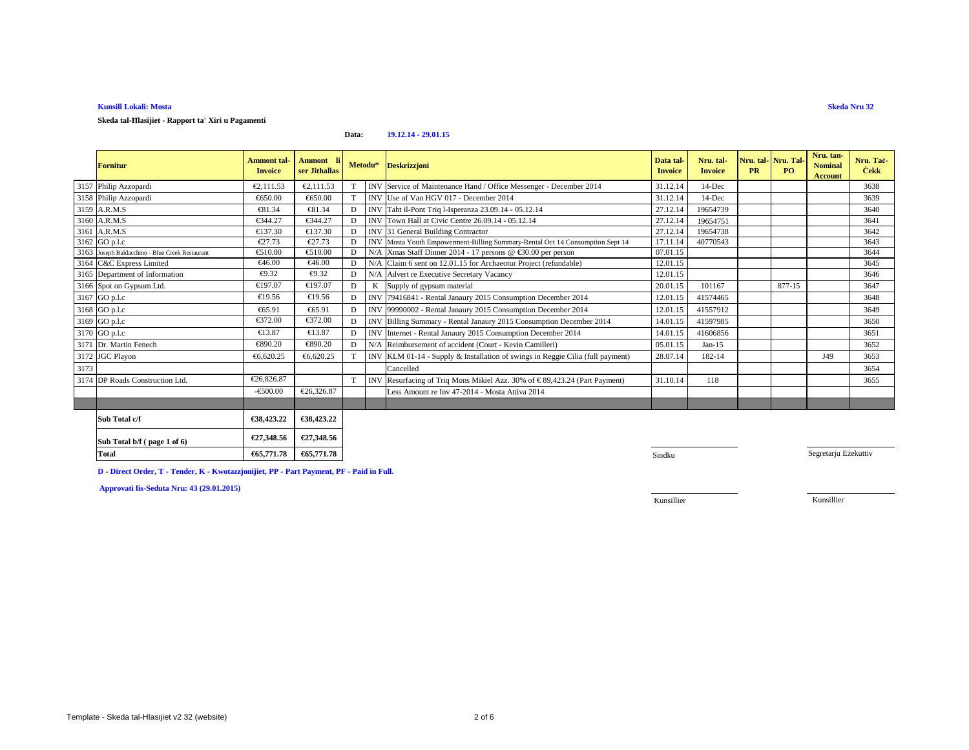**Skeda tal-Ħlasijiet - Rapport ta' Xiri u Pagamenti**

### **Data:19.12.14 - 29.01.15**

|      | <b>Fornitur</b>                                 | <b>Ammont</b> tal-<br><b>Invoice</b> | Ammont li<br>ser Jithallas | Metodu* |            | <b>Deskrizzjoni</b>                                                           | Data tal<br><b>Invoice</b> | Nru. tal-<br><b>Invoice</b> | Nru. tal Nru. Tal<br><b>PR</b> | PO.    | Nru. tan-<br><b>Nominal</b><br>Account | Nru. Tac-<br><b>Cekk</b> |
|------|-------------------------------------------------|--------------------------------------|----------------------------|---------|------------|-------------------------------------------------------------------------------|----------------------------|-----------------------------|--------------------------------|--------|----------------------------------------|--------------------------|
|      | 3157 Philip Azzopardi                           | €2,111.53                            | €2,111.53                  |         | <b>INV</b> | Service of Mainenance Hand / Office Messenger - December 2014                 | 31.12.14                   | 14-Dec                      |                                |        |                                        | 3638                     |
|      | 3158 Philip Azzopardi                           | €650.00                              | €650.00                    | T       | <b>INV</b> | Use of Van HGV 07 - December 2014                                             | 31.12.14                   | 14-Dec                      |                                |        |                                        | 3639                     |
|      | 3159 A.R.M.S                                    | €81.34                               | €81.34                     | D       | <b>INV</b> | Taht il-Pont Triq l-Isperanza 23.09.14 - 6.12.14                              | 27.12.14                   | 19654739                    |                                |        |                                        | 3640                     |
|      | 3160 A.R.M.S                                    | €344.27                              | €344.27                    | D       | <b>INV</b> | Town Hall at Civic Centre 26.09.14 - 0512.14                                  | 27.12.14                   | 19654751                    |                                |        |                                        | 3641                     |
|      | 3161 A.R.M.S                                    | €137.30                              | €137.30                    | D       | <b>INV</b> | 31 General Building Contractor                                                | 27.12.14                   | 19654738                    |                                |        |                                        | 3642                     |
|      | 3162 GO p.l.c                                   | €27.73                               | €27.73                     | D       |            | INV Mosta Youth Empowerment-Billing Summary-Rental Oct 14 Consumption Sept 14 | 17.11.14                   | 40770543                    |                                |        |                                        | 3643                     |
|      | 3163 Joseph Baldacchino - Blue Creek Restaurant | €510.00                              | €510.00                    | D       |            | N/AXmas Staff Dinner 2014 - 17 persons @ €30.00 per person                    | 07.01.15                   |                             |                                |        |                                        | 3644                     |
|      | 3164 C&C Express Limited                        | €46.00                               | €46.00                     | D       |            | N/A Claim 6 sent on 12.01.15 for Archaeotur Project (refundable)              | 12.01.15                   |                             |                                |        |                                        | 3645                     |
|      | 3165 Department of Information                  | €9.32                                | €9.32                      | D       | N/A        | Advert re Executive Secretary Vacancy                                         | 12.01.15                   |                             |                                |        |                                        | 3646                     |
|      | 3166 Spot on Gypsum Ltd.                        | €197.07                              | €197.07                    | D       | K          | Supply of gypsum material                                                     | 20.01.15                   | 101167                      |                                | 877-15 |                                        | 3647                     |
|      | 3167 GO p.l.c                                   | €19.56                               | €19.56                     | D       | <b>INV</b> | 79416841 - Rental Janaury 2015 Consumption December 2014                      | 12.01.15                   | 41574465                    |                                |        |                                        | 3648                     |
|      | 3168 GO p.l.c                                   | €65.91                               | €65.91                     | D       | IN         | 99990002 - Rental Janaury 2015 Consumption December 2014                      | 12.01.15                   | 41557912                    |                                |        |                                        | 3649                     |
|      | 3169 GO p.l.c                                   | €372.00                              | €372.00                    | D       | <b>INV</b> | Billing Summary - Rental Janaury 2015 Consumption December 2014               | 14.01.15                   | 41597985                    |                                |        |                                        | 3650                     |
|      | 3170 GO p.l.c                                   | €13.87                               | €13.87                     | D       | <b>INV</b> | Internet - Rental Janaury 2015 Consumption December 2014                      | 14.01.15                   | 41606856                    |                                |        |                                        | 3651                     |
|      | 3171 Dr. Martin Fenech                          | €890.20                              | €890.20                    | D       | N/A        | Reimbursement of accident (Court - Kevin Camilleri)                           | 05.01.15                   | $Jan-15$                    |                                |        |                                        | 3652                     |
|      | 3172 JGC Playon                                 | €6,620.25                            | €6,620.25                  |         | <b>INV</b> | KLM 01-14 - Supply& Installation of swings in Reggie Cilia (full payment)     | 28.07.14                   | 182-14                      |                                |        | J49                                    | 3653                     |
| 3173 |                                                 |                                      |                            |         |            | Cancelled                                                                     |                            |                             |                                |        |                                        | 3654                     |
|      | 3174 DP Roads Construction Ltd                  | €26,826.87                           |                            | T       | <b>INV</b> | Resurfacing of Triq Mons Mikiel Azz. 30% of €89,42324 (Part Payment)          | 31.10.14                   | 118                         |                                |        |                                        | 3655                     |
|      |                                                 | $-€500.00$                           | €26,326.87                 |         |            | Less Amount re Inv 47-2014 - Mosta Attiva 2014                                |                            |                             |                                |        |                                        |                          |
|      |                                                 |                                      |                            |         |            |                                                                               |                            |                             |                                |        |                                        |                          |
|      | Sub Total c/f                                   | €38,423.22                           | €38,423.22                 |         |            |                                                                               |                            |                             |                                |        |                                        |                          |
|      | Sub Total b/f (page 1 of 6)                     | €27,348.56                           | €27,348.56                 |         |            |                                                                               |                            |                             |                                |        |                                        |                          |
|      | <b>Total</b>                                    | €65,771.78                           | €65,771.78                 |         |            |                                                                               | Sindku                     |                             |                                |        | Segretarju Eżekuttiv                   |                          |

**D - Direct Order, T - Tender, K - Kwotazzjonijiet, PP - Part Payment, PF - Paid in Full.**

**Approvati fis-Seduta Nru: 43 (29.01.2015)**

Kunsillier

Kunsillier

**Skeda Nru 32**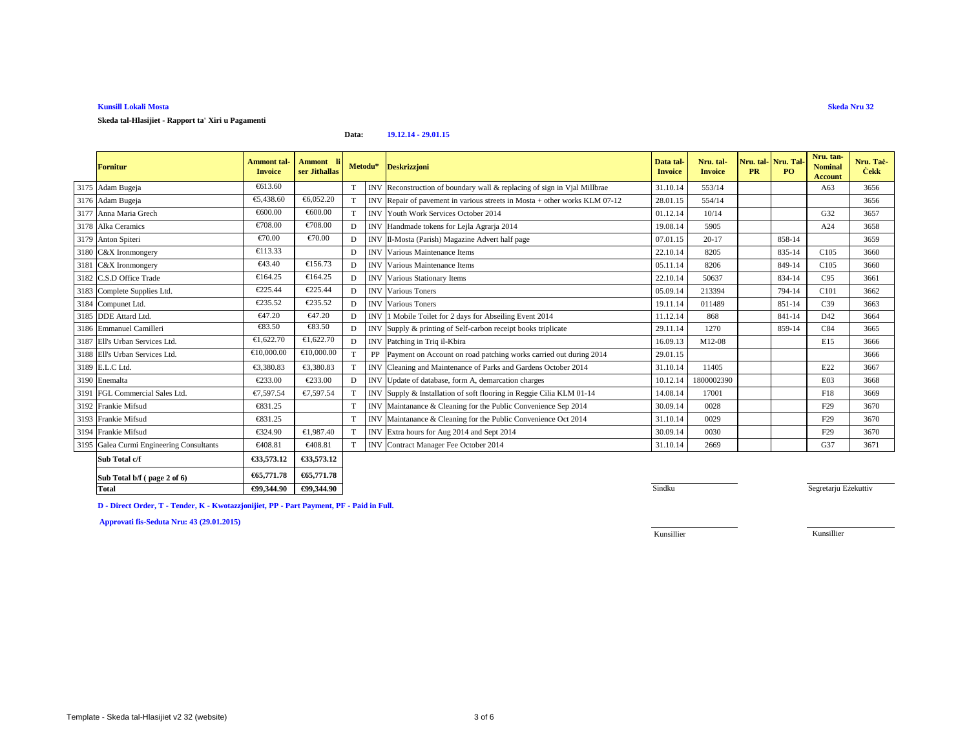**Skeda tal-Hlasijiet - Rapport ta' Xiri u Pagamenti**

#### **Data:19.12.14 - 29.01.15**

| <b>Fornitur</b>                          | <b>Ammont tal-</b><br><b>Invoice</b> | Ammont li<br>ser Jithallas |             | Metodu*    | <b>Deskrizzjoni</b>                                                        | Data tal-<br><b>Invoice</b> | Nru. tal-<br><b>Invoice</b> | Nru. tal Nru. Tal<br><b>PR</b> | P <sub>O</sub> | Nru. tan-<br><b>Nominal</b><br>Account | Nru. Taċ<br><b>Cekk</b> |
|------------------------------------------|--------------------------------------|----------------------------|-------------|------------|----------------------------------------------------------------------------|-----------------------------|-----------------------------|--------------------------------|----------------|----------------------------------------|-------------------------|
| 3175 Adam Bugeja                         | €613.60                              |                            | T           |            | INV Reconstruction of boundary wall & replacing of sign in Vial Millbrae   | 31.10.14                    | 553/14                      |                                |                | A63                                    | 3656                    |
| 3176 Adam Bugeja                         | €5,438.60                            | €6,052.20                  | T           |            | INV Repair of pavement in various streets in Mosta + other works KLM 07-12 | 28.01.15                    | 554/14                      |                                |                |                                        | 3656                    |
| 3177 Anna Maria Grech                    | €600.00                              | €600.00                    | T           |            | <b>INV</b> Youth Work Services October 2014                                | 01.12.14                    | 10/14                       |                                |                | G32                                    | 3657                    |
| 3178 Alka Ceramics                       | €708.00                              | €708.00                    | D           |            | INV Handmade tokens for Lejla Agrarja 2014                                 | 19.08.14                    | 5905                        |                                |                | A24                                    | 3658                    |
| 3179 Anton Spiteri                       | €70.00                               | €70.00                     | $\mathbf D$ |            | INV Il-Mosta (Parish) Magazine Advert half page                            | 07.01.15                    | $20-17$                     |                                | 858-14         |                                        | 3659                    |
| 3180 C&X Ironmongery                     | €113.33                              |                            | D           |            | <b>INV</b> Various Maintenance Items                                       | 22.10.14                    | 8205                        |                                | 835-14         | C <sub>105</sub>                       | 3660                    |
| 3181 C&X Ironmongery                     | €43.40                               | €156.73                    | D           |            | <b>INV</b> Various Maintenance Items                                       | 05.11.14                    | 8206                        |                                | 849-14         | C105                                   | 3660                    |
| 3182 C.S.D Office Trade                  | €164.25                              | €164.25                    | D           |            | <b>INV</b> Various Stationary Items                                        | 22.10.14                    | 50637                       |                                | 834-14         | C95                                    | 3661                    |
| 3183 Complete Supplies Ltd.              | €225.44                              | €225.44                    | D           |            | <b>INV</b> Various Toners                                                  | 05.09.14                    | 213394                      |                                | 794-14         | C <sub>101</sub>                       | 3662                    |
| 3184 Compunet Ltd.                       | €235.52                              | €235.52                    | D           |            | <b>INV</b> Various Toners                                                  | 19.11.14                    | 011489                      |                                | 851-14         | C <sub>39</sub>                        | 3663                    |
| 3185 DDE Attard Ltd.                     | €47.20                               | €47.20                     | D           | <b>INV</b> | 1 Mobile Toilet for 2 days for Abseiling Event 2014                        | 11.12.14                    | 868                         |                                | 841-14         | D42                                    | 3664                    |
| 3186 Emmanuel Camilleri                  | €83.50                               | €83.50                     | D           |            | INV Supply & printing of Self-carbon receipt books triplicate              | 29.11.14                    | 1270                        |                                | 859-14         | C84                                    | 3665                    |
| 3187 Ell's Urban Services Ltd.           | €1,622.70                            | €1,622.70                  | D           | <b>INV</b> | Patching in Triq il-Kbira                                                  | 16.09.13                    | M12-08                      |                                |                | E15                                    | 3666                    |
| 3188 Ell's Urban Services Ltd.           | €10,000.00                           | €10,000.00                 | T           | PP         | Payment on Account on road patching works carried out during 2014          | 29.01.15                    |                             |                                |                |                                        | 3666                    |
| 3189 E.L.C Ltd.                          | €3.380.83                            | €3.380.83                  |             | <b>INV</b> | Cleaning and Maintennce of Parks and Gardens October 2014                  | 31.10.14                    | 11405                       |                                |                | E22                                    | 3667                    |
| 3190 Enemalta                            | €233.00                              | €233.00                    | D           | <b>INV</b> | Update of database, form A, demarction charges                             | 10.12.14                    | 1800002390                  |                                |                | E03                                    | 3668                    |
| 3191 FGL Commercial Sales Ltd.           | €7,597.54                            | €7,597.54                  |             | <b>INV</b> | Supply& Installation of soft flooring in Reggie Cilia KLM 01-14            | 14.08.14                    | 17001                       |                                |                | F18                                    | 3669                    |
| 3192 Frankie Mifsud                      | €831.25                              |                            | T           |            | INV Maintanance & Cleaning for the Public Convenience Sep 2014             | 30.09.14                    | 0028                        |                                |                | F <sub>29</sub>                        | 3670                    |
| 3193 Frankie Mifsud                      | €831.25                              |                            | T           | <b>INV</b> | Maintanance & Cleaning for the Public Convenience Oct 2014                 | 31.10.14                    | 0029                        |                                |                | F <sub>29</sub>                        | 3670                    |
| 3194 Frankie Mifsud                      | €324.90                              | €1.987.40                  |             | <b>INV</b> | Extra hours for Aug 2014 and Sept 2014                                     | 30.09.14                    | 0030                        |                                |                | F <sub>29</sub>                        | 3670                    |
| 3195 Galea Curmi Engineering Consultants | €408.81                              | €408.81                    |             | <b>INV</b> | <b>Contract Manager Fee October 2014</b>                                   | 31.10.14                    | 2669                        |                                |                | G37                                    | 3671                    |
| Sub Total c/f                            | €33,573.12                           | €33,573.12                 |             |            |                                                                            |                             |                             |                                |                |                                        |                         |
| Sub Total b/f (page 2 of 6)              | €65,771.78                           | €65,771.78                 |             |            |                                                                            |                             |                             |                                |                |                                        |                         |
| <b>Total</b>                             | €99,344.90                           | €99,344.90                 |             |            |                                                                            | Sindku                      |                             |                                |                | Segretarju Eżekuttiv                   |                         |

0<sup>0</sup>

**D - Direct Order, T - Tender, K - Kwotazzjonijiet, PP - Part Payment, PF - Paid in Full.**

**Approvati fis-Seduta Nru: 43 (29.01.2015)**

Kunsillier

Kunsillier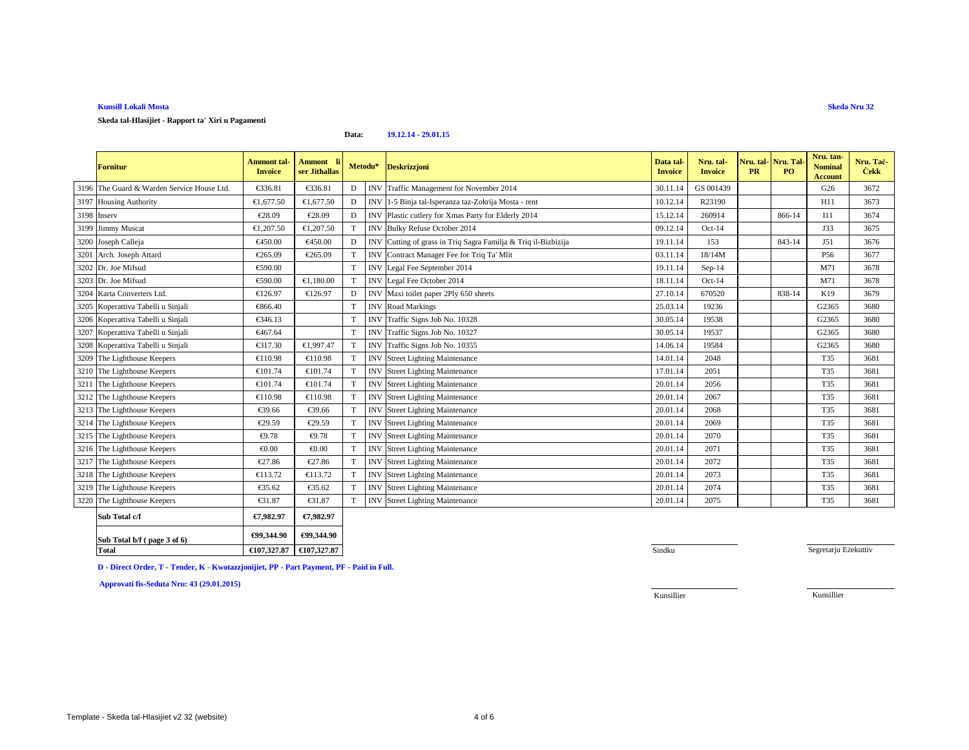**Skeda tal-Hlasijiet - Rapport ta' Xiri u Pagamenti**

### **Data:19.12.14 - 29.01.15**

| <b>Fornitur</b>                            | <b>Ammont tal-</b><br><b>Invoice</b> | Ammont li<br>ser Jithallas | Metodu*     |            | <b>Deskrizzjoni</b>                                       | Data tal-<br><b>Invoice</b> | Nru. tal-<br><b>Invoice</b> | Nru. tal   Nru. Tal<br><b>PR</b> | PO <sub>1</sub> | Nru. tan-<br><b>Nominal</b><br><b>Account</b> | Nru. Tac<br><b>Cekk</b> |
|--------------------------------------------|--------------------------------------|----------------------------|-------------|------------|-----------------------------------------------------------|-----------------------------|-----------------------------|----------------------------------|-----------------|-----------------------------------------------|-------------------------|
| 3196 The Guard & Warden Service House Ltd. | €336.81                              | €33681                     | $\mathbf D$ | <b>INV</b> | Traffic Management for November 2014                      | 30.11.14                    | GS 001439                   |                                  |                 | G26                                           | 3672                    |
| 3197 Housing Authority                     | €1,677.50                            | €1,677.50                  | D           | <b>INV</b> | 1-5 Binja tal-Iperanza taz-Zokrija Mosta - rent           | 10.12.14                    | R23190                      |                                  |                 | H11                                           | 3673                    |
| 3198 Inserv                                | €28.09                               | €28.09                     | D           | <b>INV</b> | Plastic cutlery for Xmas Party for Elderly 204            | 15.12.14                    | 260914                      |                                  | 866-14          | I11                                           | 3674                    |
| 3199 Jimmy Muscat                          | €1,207.50                            | €1,207.50                  | T           |            | INV Bulky Refuse Otober 2014                              | 09.12.14                    | $Oct-14$                    |                                  |                 | J33                                           | 3675                    |
| 3200 Joseph Calleja                        | €450.00                              | €450.00                    | D           | <b>INV</b> | Cutting of grass in Tiq Sagra Familja & Triq il-Bizbizija | 19.11.14                    | 153                         |                                  | 843-14          | J51                                           | 3676                    |
| 3201 Arch. Joseph Attard                   | €265.09                              | €265.09                    | T           | <b>INV</b> | Contract Managr Fee for Triq Ta' Mlit                     | 03.11.14                    | 18/14M                      |                                  |                 | P <sub>56</sub>                               | 3677                    |
| 3202 Dr. Joe Mifsud                        | €590.00                              |                            | T           | <b>INV</b> | Legal Fee September 2014                                  | 19.11.14                    | Sep-14                      |                                  |                 | M71                                           | 3678                    |
| 3203 Dr. Joe Mifsud                        | €590.00                              | €1.180.00                  | T           | <b>INV</b> | Legal Fee October2014                                     | 18.11.14                    | $Oct-14$                    |                                  |                 | M71                                           | 3678                    |
| 3204 Karta Converters Ltd.                 | €126.97                              | €126.97                    | D           |            | INV Maxi toilet pape 2Ply 650 sheets                      | 27.10.14                    | 670520                      |                                  | 838-14          | K19                                           | 3679                    |
| 3205 Koperattiva Tabelli u Sinjali         | €866.40                              |                            | T           | <b>INV</b> | Road Markings                                             | 25.03.14                    | 19236                       |                                  |                 | G2365                                         | 3680                    |
| 3206 Koperattiva Tabelli u Sinjali         | €346.13                              |                            | T           | <b>INV</b> | Traffic Signs JobNo. 10328                                | 30.05.14                    | 19538                       |                                  |                 | G2365                                         | 3680                    |
| 3207 Koperattiva Tabelli u Sinjali         | €467.64                              |                            | T           | <b>INV</b> | Traffic Signs JobNo. 10327                                | 30.05.14                    | 19537                       |                                  |                 | G2365                                         | 3680                    |
| 3208 Koperattiva Tabelli u Sinjali         | €317.30                              | €1,997.47                  | T           | <b>INV</b> | TrafficSigns Job No. 10355                                | 14.06.14                    | 19584                       |                                  |                 | G2365                                         | 3680                    |
| 3209 The Lighthouse Keepers                | €110.98                              | €110.98                    | T           |            | INV Street Lightig Maintenance                            | 14.01.14                    | 2048                        |                                  |                 | <b>T35</b>                                    | 3681                    |
| 3210 The Lighthouse Keepers                | €101.74                              | €101.74                    | T           | <b>INV</b> | Street Lightig Maintenance                                | 17.01.14                    | 2051                        |                                  |                 | T35                                           | 3681                    |
| 3211 The Lighthouse Keepers                | €101.74                              | €101.74                    | T           | <b>INV</b> | Street Lightig Maintenance                                | 20.01.14                    | 2056                        |                                  |                 | <b>T35</b>                                    | 3681                    |
| 3212 The Lighthouse Keepers                | €110.98                              | €110.98                    | T           | <b>INV</b> | Street Lightig Maintenance                                | 20.01.14                    | 2067                        |                                  |                 | T35                                           | 3681                    |
| 3213 The Lighthouse Keepers                | €39.66                               | €39.66                     | T           | <b>INV</b> | Street LightingMaintenance                                | 20.01.14                    | 2068                        |                                  |                 | T35                                           | 3681                    |
| 3214 The Lighthouse Keepers                | €29.59                               | €29.59                     | T           | <b>INV</b> | Street LightingMaintenance                                | 20.01.14                    | 2069                        |                                  |                 | T35                                           | 3681                    |
| 3215 The Lighthouse Keepers                | €9.78                                | €9.78                      | T           | <b>INV</b> | <b>Street Lighting Mintenance</b>                         | 20.01.14                    | 2070                        |                                  |                 | <b>T35</b>                                    | 3681                    |
| 3216 The Lighthouse Keepers                | € $0.00$                             | € $0.00$                   | T           | <b>INV</b> | <b>Street Lighting Mintenance</b>                         | 20.01.14                    | 2071                        |                                  |                 | <b>T35</b>                                    | 3681                    |
| 3217 The Lighthouse Keepers                | €27.86                               | €27.86                     | T           | <b>INV</b> | Street LightingMaintenance                                | 20.01.14                    | 2072                        |                                  |                 | T35                                           | 3681                    |
| 3218 The Lighthouse Keepers                | €113.72                              | €113.72                    | T           | <b>INV</b> | <b>Street Lightig Maintenance</b>                         | 20.01.14                    | 2073                        |                                  |                 | T35                                           | 3681                    |
| 3219 The Lighthouse Keepers                | €35.62                               | €35.62                     | T           |            | <b>INV</b> Street LightingMaintenance                     | 20.01.14                    | 2074                        |                                  |                 | T35                                           | 3681                    |
| 3220 The Lighthouse Keepers                | €31.87                               | €31.87                     | T           | <b>INV</b> | Street LightingMaintenance                                | 20.01.14                    | 2075                        |                                  |                 | T35                                           | 3681                    |
| Sub Total c/f                              | €7,982.97                            | €7,982.97                  |             |            |                                                           |                             |                             |                                  |                 |                                               |                         |

| Sub Total b/f (page 3 of 6) | €99.344.90  | €99,344.90  |
|-----------------------------|-------------|-------------|
| Total                       | €107.327.87 | €107,327.87 |

Segretarju Eżekuttiv

**D - Direct Order, T - Tender, K - Kwotazzjonijiet, PP - Part Payment, PF - Paid in Full.**

**Approvati fis-Seduta Nru: 43 (29.01.2015)**

Kunsillier

Kunsillier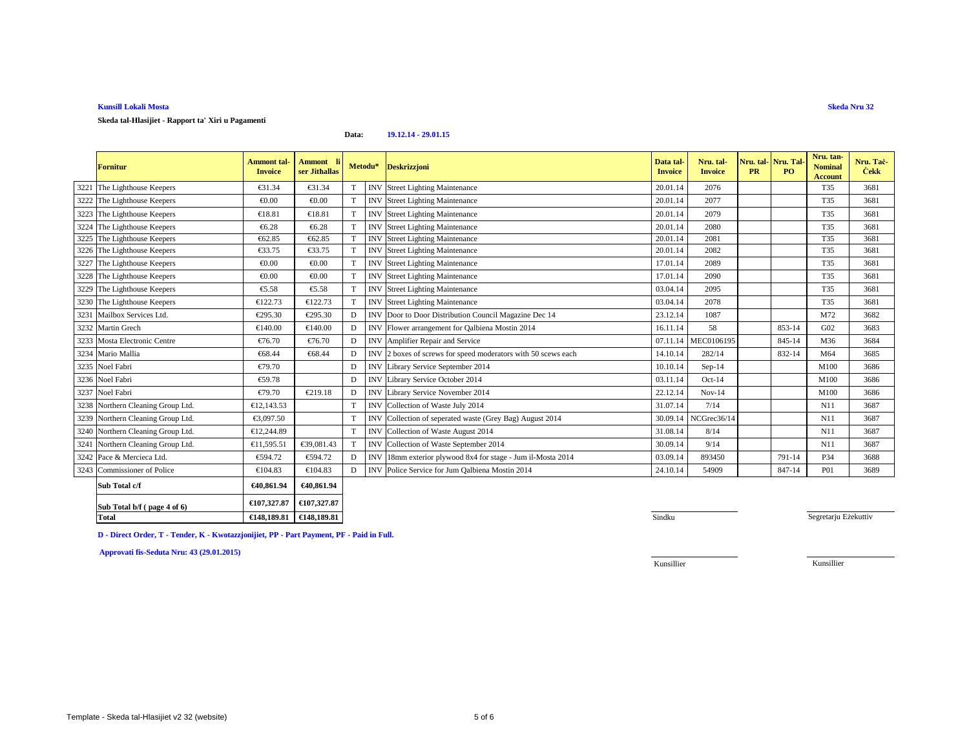**Skeda tal-Hlasijiet - Rapport ta' Xiri u Pagamenti**

### **Data:19.12.14 - 29.01.15**

| <b>Fornitur</b>                   | <b>Ammont</b> tal<br><b>Invoice</b> | Ammont li<br>ser Jithallas | Metodu*         |                 | <b>Deskrizzjoni</b>                                      | Data tal-<br><b>Invoice</b> | Nru. tal-<br><b>Invoice</b> | Nru. tal   Nru. Tal<br><b>PR</b> | PO.    | Nru. tan-<br><b>Nominal</b><br><b>Account</b> | Nru. Tac-<br><b>Cekk</b> |
|-----------------------------------|-------------------------------------|----------------------------|-----------------|-----------------|----------------------------------------------------------|-----------------------------|-----------------------------|----------------------------------|--------|-----------------------------------------------|--------------------------|
| 3221 The Lighthouse Keepers       | €31.34                              | €31.34                     | T               | IN'             | Street LightingMaintenance                               | 20.01.14                    | 2076                        |                                  |        | T35                                           | 3681                     |
| 3222 The Lighthouse Keepers       | € $0.00$                            | € $0.00$                   | T               | IN <sub>1</sub> | <b>Street Lighting Mintenance</b>                        | 20.01.14                    | 2077                        |                                  |        | T35                                           | 3681                     |
| 3223 The Lighthouse Keepers       | €18.81                              | €18.81                     | T               | <b>INV</b>      | Street LightingMaintenance                               | 20.01.14                    | 2079                        |                                  |        | T35                                           | 3681                     |
| 3224 The Lighthouse Keepers       | €6.28                               | €6.28                      | T               | <b>INV</b>      | <b>Street Lighting Mintenance</b>                        | 20.01.14                    | 2080                        |                                  |        | T35                                           | 3681                     |
| 3225 The Lighthouse Keepers       | €62.85                              | €62.85                     | $^{\mathrm{T}}$ | <b>INV</b>      | Street LightingMaintenance                               | 20.01.14                    | 2081                        |                                  |        | T35                                           | 3681                     |
| 3226 The Lighthouse Keepers       | €33.75                              | €33.75                     | T               | <b>INV</b>      | Street LightingMaintenance                               | 20.01.14                    | 2082                        |                                  |        | T35                                           | 3681                     |
| 3227 The Lighthouse Keepers       | € $0.00$                            | €0.00                      | T               | IN <sub>1</sub> | <b>Street Lighting Mintenance</b>                        | 17.01.14                    | 2089                        |                                  |        | T35                                           | 3681                     |
| 3228 The Lighthouse Keepers       | € $0.00$                            | € $0.00$                   | T               | <b>IN</b>       | <b>Street Lighting Mintenance</b>                        | 17.01.14                    | 2090                        |                                  |        | T35                                           | 3681                     |
| 3229 The Lighthouse Keepers       | €5.58                               | €5.58                      | T               | <b>INV</b>      | <b>Street Lighting Mintenance</b>                        | 03.04.14                    | 2095                        |                                  |        | T35                                           | 3681                     |
| 3230 The Lighthouse Keepers       | €122.73                             | €122.73                    | T               | <b>INV</b>      | <b>Street Lightig Maintenance</b>                        | 03.04.14                    | 2078                        |                                  |        | T35                                           | 3681                     |
| 3231 Mailbox Services Ltd.        | €295.30                             | €295.30                    | D               | <b>INV</b>      | Door to DoorDistribution Council Magazine Dec 14         | 23.12.14                    | 1087                        |                                  |        | M72                                           | 3682                     |
| 3232 Martin Grech                 | €140.00                             | €140.00                    | D               | IN              | Flower arrangement forQalbiena Mostin 2014               | 16.11.14                    | 58                          |                                  | 853-14 | G <sub>02</sub>                               | 3683                     |
| 3233 Mosta Electronic Centre      | €76.70                              | €76.70                     | D               | IN              | Amplifier Repairand Service                              | 07.11.14                    | MEC0106195                  |                                  | 845-14 | M36                                           | 3684                     |
| 3234 Mario Mallia                 | €68.44                              | €68.44                     | D               | <b>INV</b>      | 2 boxes of screws for peed moderators with 50 scews each | 14.10.14                    | 282/14                      |                                  | 832-14 | M64                                           | 3685                     |
| 3235 Noel Fabri                   | €79.70                              |                            | D               | <b>INV</b>      | Library Service September 2014                           | 10.10.14                    | Sep-14                      |                                  |        | M100                                          | 3686                     |
| 3236 Noel Fabri                   | €59.78                              |                            | D               | <b>INV</b>      | Library Service October 2014                             | 03.11.14                    | $Oct-14$                    |                                  |        | M100                                          | 3686                     |
| 3237 Noel Fabri                   | €79.70                              | €219.18                    | $\Gamma$        | <b>INV</b>      | Library Service November2014                             | 22.12.14                    | $Nov-14$                    |                                  |        | M100                                          | 3686                     |
| 3238 Northern Cleaning Group Ltd. | €12,143.53                          |                            | T               | <b>INV</b>      | Collection of Waste July 2014                            | 31.07.14                    | 7/14                        |                                  |        | N11                                           | 3687                     |
| 3239 Northern Cleaning Group Ltd. | €3,097.50                           |                            | T               | <b>INV</b>      | Collection of seperated waste (Grey Bag) August 2014     | 30.09.14                    | NCGrec36/14                 |                                  |        | N11                                           | 3687                     |
| 3240 Northern Cleaning Group Ltd. | €12,244.89                          |                            | T               | <b>INV</b>      | Collection of Waste August 2014                          | 31.08.14                    | 8/14                        |                                  |        | N11                                           | 3687                     |
| 3241 Northern Cleaning Group Ltd. | €11,595.51                          | €39,081.43                 | $^{\mathrm{T}}$ | INV             | Collection of Waste September 2014                       | 30.09.14                    | 9/14                        |                                  |        | N11                                           | 3687                     |
| 3242 Pace & Mercieca Ltd.         | €594.72                             | €594.72                    | D               | <b>INV</b>      | 18mm exteriorplywood 8x4 for stage - Jum il-Mosta 2014   | 03.09.14                    | 893450                      |                                  | 791-14 | P34                                           | 3688                     |
| 3243 Commissioner of Police       | €104.83                             | €104.83                    | D               | <b>INV</b>      | Police Service of Jum Qalbiena Mostin 2014               | 24.10.14                    | 54909                       |                                  | 847-14 | <b>P01</b>                                    | 3689                     |

| Sub Total c/f               | €40,861.94 | €40,861.94                        |  |
|-----------------------------|------------|-----------------------------------|--|
| Sub Total b/f (page 4 of 6) |            | €107,327.87 $\epsilon$ 107,327.87 |  |
| Total                       |            | €148,189.81 $\in$ 148,189.81      |  |

1 Sindku a Shekara ta 1988 haɗa ta 1989 haɗa ta 1989 haɗa ta 1989 haɗa ta 1989 haɗa ta 1989 haɗa ta 1989 haɗa

Segretarju Eżekuttiv

**D - Direct Order, T - Tender, K - Kwotazzjonijiet, PP - Part Payment, PF - Paid in Full.**

**Approvati fis-Seduta Nru: 43 (29.01.2015)**

Kunsillier

Kunsillier

**Skeda Nru 32**